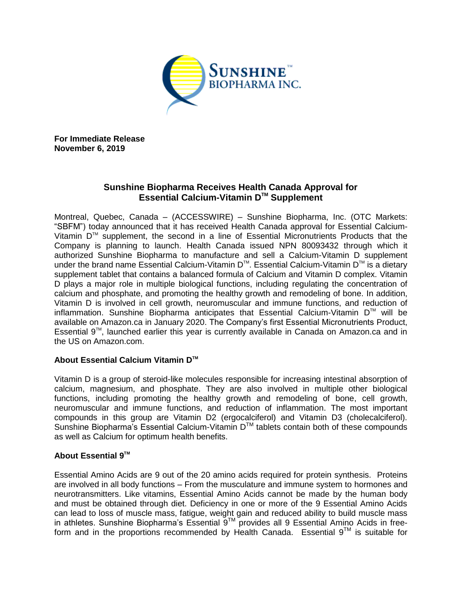

**For Immediate Release November 6, 2019**

## **Sunshine Biopharma Receives Health Canada Approval for Essential Calcium-Vitamin DTM Supplement**

Montreal, Quebec, Canada – (ACCESSWIRE) – Sunshine Biopharma, Inc. (OTC Markets: "SBFM") today announced that it has received Health Canada approval for Essential Calcium-Vitamin  $D^{\text{TM}}$  supplement, the second in a line of Essential Micronutrients Products that the Company is planning to launch. Health Canada issued NPN 80093432 through which it authorized Sunshine Biopharma to manufacture and sell a Calcium-Vitamin D supplement under the brand name Essential Calcium-Vitamin D<sup>™</sup>. Essential Calcium-Vitamin D™ is a dietary supplement tablet that contains a balanced formula of Calcium and Vitamin D complex. Vitamin D plays a major role in multiple biological functions, including regulating the concentration of calcium and phosphate, and promoting the healthy growth and remodeling of bone. In addition, Vitamin D is involved in cell growth, neuromuscular and immune functions, and reduction of inflammation. Sunshine Biopharma anticipates that Essential Calcium-Vitamin DTM will be available on Amazon.ca in January 2020. The Company's first Essential Micronutrients Product, Essential 9<sup>™</sup>, launched earlier this year is currently available in Canada on Amazon.ca and in the US on Amazon.com.

## **About Essential Calcium Vitamin DTM**

Vitamin D is a group of steroid-like molecules responsible for increasing intestinal absorption of calcium, magnesium, and phosphate. They are also involved in multiple other biological functions, including promoting the healthy growth and remodeling of bone, cell growth, neuromuscular and immune functions, and reduction of inflammation. The most important compounds in this group are Vitamin D2 (ergocalciferol) and Vitamin D3 (cholecalciferol). Sunshine Biopharma's Essential Calcium-Vitamin D™ tablets contain both of these compounds as well as Calcium for optimum health benefits.

## **About Essential 9TM**

Essential Amino Acids are 9 out of the 20 amino acids required for protein synthesis. Proteins are involved in all body functions – From the musculature and immune system to hormones and neurotransmitters. Like vitamins, Essential Amino Acids cannot be made by the human body and must be obtained through diet. Deficiency in one or more of the 9 Essential Amino Acids can lead to loss of muscle mass, fatigue, weight gain and reduced ability to build muscle mass in athletes. Sunshine Biopharma's Essential 9™ provides all 9 Essential Amino Acids in freeform and in the proportions recommended by Health Canada. Essential  $9^{TM}$  is suitable for